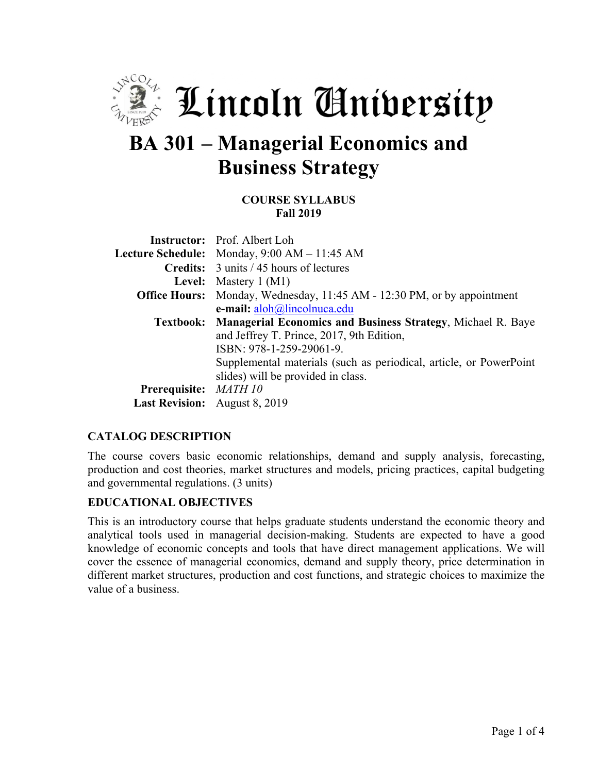

# **BA 301 – Managerial Economics and Business Strategy**

#### **COURSE SYLLABUS Fall 2019**

|                                      | <b>Instructor:</b> Prof. Albert Loh                                            |
|--------------------------------------|--------------------------------------------------------------------------------|
|                                      | <b>Lecture Schedule:</b> Monday, $9:00$ AM $- 11:45$ AM                        |
|                                      | <b>Credits:</b> 3 units / 45 hours of lectures                                 |
|                                      | <b>Level:</b> Mastery $1(M1)$                                                  |
|                                      | <b>Office Hours:</b> Monday, Wednesday, 11:45 AM - 12:30 PM, or by appointment |
|                                      | e-mail: aloh@lincolnuca.edu                                                    |
|                                      | Textbook: Managerial Economics and Business Strategy, Michael R. Baye          |
|                                      | and Jeffrey T. Prince, 2017, 9th Edition,                                      |
|                                      | ISBN: 978-1-259-29061-9.                                                       |
|                                      | Supplemental materials (such as periodical, article, or PowerPoint             |
|                                      | slides) will be provided in class.                                             |
| Prerequisite: MATH 10                |                                                                                |
| <b>Last Revision:</b> August 8, 2019 |                                                                                |

### **CATALOG DESCRIPTION**

The course covers basic economic relationships, demand and supply analysis, forecasting, production and cost theories, market structures and models, pricing practices, capital budgeting and governmental regulations. (3 units)

#### **EDUCATIONAL OBJECTIVES**

This is an introductory course that helps graduate students understand the economic theory and analytical tools used in managerial decision-making. Students are expected to have a good knowledge of economic concepts and tools that have direct management applications. We will cover the essence of managerial economics, demand and supply theory, price determination in different market structures, production and cost functions, and strategic choices to maximize the value of a business.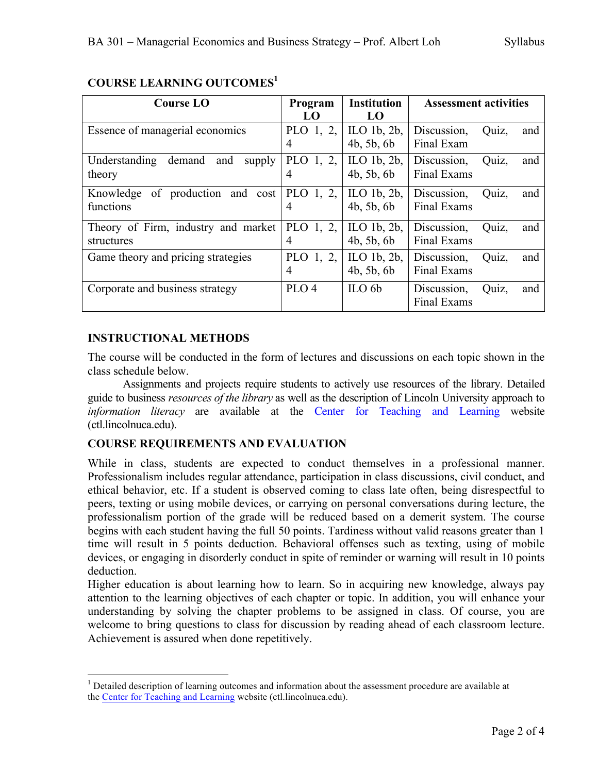| <b>Course LO</b>                         | Program          | <b>Institution</b> | <b>Assessment activities</b> |
|------------------------------------------|------------------|--------------------|------------------------------|
|                                          | LO               | LO                 |                              |
| Essence of managerial economics          | PLO $1, 2,$      | ILO $1b$ , $2b$ ,  | Quiz,<br>Discussion,<br>and  |
|                                          | 4                | 4b, 5b, 6b         | Final Exam                   |
| Understanding<br>demand<br>and<br>supply | PLO 1, 2,        | ILO $1b$ , $2b$ ,  | Quiz,<br>Discussion,<br>and  |
| theory                                   | $\overline{4}$   | 4b, 5b, 6b         | Final Exams                  |
| Knowledge of production and cost         | PLO 1, 2,        | ILO $1b$ , $2b$ ,  | Discussion,<br>Quiz,<br>and  |
| functions                                | 4                | 4b, 5b, 6b         | Final Exams                  |
| Theory of Firm, industry and market      | PLO 1, 2,        | ILO $1b$ , $2b$ ,  | Discussion,<br>Quiz,<br>and  |
| structures                               | $\overline{4}$   | 4b, 5b, 6b         | <b>Final Exams</b>           |
| Game theory and pricing strategies       | PLO 1, 2,        | ILO $1b$ , $2b$ ,  | Discussion,<br>Quiz,<br>and  |
|                                          | $\overline{4}$   | 4b, 5b, 6b         | Final Exams                  |
| Corporate and business strategy          | PLO <sub>4</sub> | $\mathrm{ILO}$ 6b  | Discussion,<br>Quiz,<br>and  |
|                                          |                  |                    | <b>Final Exams</b>           |

# **COURSE LEARNING OUTCOMES<sup>1</sup>**

## **INSTRUCTIONAL METHODS**

The course will be conducted in the form of lectures and discussions on each topic shown in the class schedule below.

Assignments and projects require students to actively use resources of the library. Detailed guide to business *resources of the library* as well as the description of Lincoln University approach to *information literacy* are available at the Center for Teaching and Learning website (ctl.lincolnuca.edu).

## **COURSE REQUIREMENTS AND EVALUATION**

While in class, students are expected to conduct themselves in a professional manner. Professionalism includes regular attendance, participation in class discussions, civil conduct, and ethical behavior, etc. If a student is observed coming to class late often, being disrespectful to peers, texting or using mobile devices, or carrying on personal conversations during lecture, the professionalism portion of the grade will be reduced based on a demerit system. The course begins with each student having the full 50 points. Tardiness without valid reasons greater than 1 time will result in 5 points deduction. Behavioral offenses such as texting, using of mobile devices, or engaging in disorderly conduct in spite of reminder or warning will result in 10 points deduction.

Higher education is about learning how to learn. So in acquiring new knowledge, always pay attention to the learning objectives of each chapter or topic. In addition, you will enhance your understanding by solving the chapter problems to be assigned in class. Of course, you are welcome to bring questions to class for discussion by reading ahead of each classroom lecture. Achievement is assured when done repetitively.

<sup>&</sup>lt;sup>1</sup> Detailed description of learning outcomes and information about the assessment procedure are available at the Center for Teaching and Learning website (ctl.lincolnuca.edu).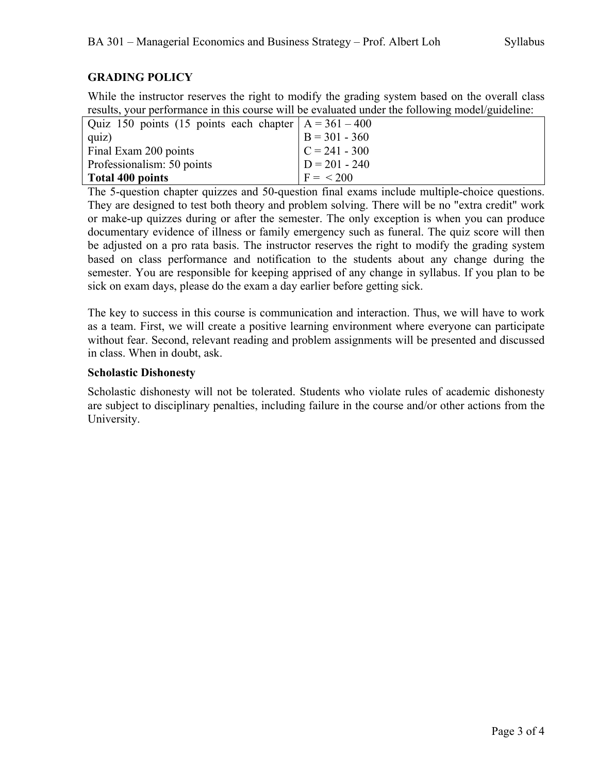# **GRADING POLICY**

While the instructor reserves the right to modify the grading system based on the overall class results, your performance in this course will be evaluated under the following model/guideline:

| Quiz 150 points (15 points each chapter $A = 361 - 400$ |                  |
|---------------------------------------------------------|------------------|
| quiz)                                                   | $B = 301 - 360$  |
| Final Exam 200 points                                   | $ C = 241 - 300$ |
| Professionalism: 50 points                              | $D = 201 - 240$  |
| Total 400 points                                        | $F = 200$        |

The 5-question chapter quizzes and 50-question final exams include multiple-choice questions. They are designed to test both theory and problem solving. There will be no "extra credit" work or make-up quizzes during or after the semester. The only exception is when you can produce documentary evidence of illness or family emergency such as funeral. The quiz score will then be adjusted on a pro rata basis. The instructor reserves the right to modify the grading system based on class performance and notification to the students about any change during the semester. You are responsible for keeping apprised of any change in syllabus. If you plan to be sick on exam days, please do the exam a day earlier before getting sick.

The key to success in this course is communication and interaction. Thus, we will have to work as a team. First, we will create a positive learning environment where everyone can participate without fear. Second, relevant reading and problem assignments will be presented and discussed in class. When in doubt, ask.

### **Scholastic Dishonesty**

Scholastic dishonesty will not be tolerated. Students who violate rules of academic dishonesty are subject to disciplinary penalties, including failure in the course and/or other actions from the University.